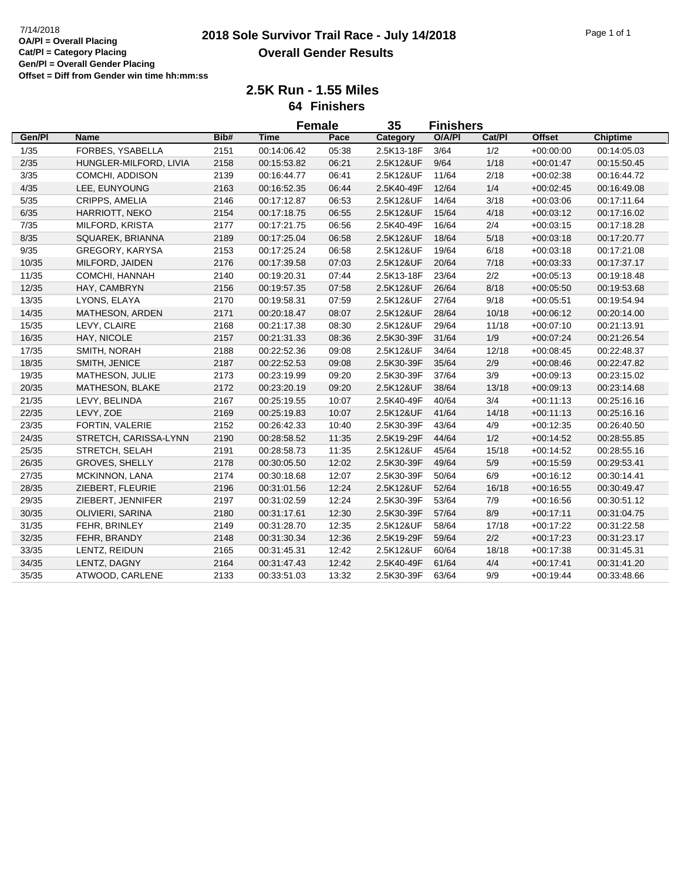## **2018 Sole Survivor Trail Race - July 14/2018** 7/14/2018 Page 1 of 1 **Overall Gender Results**

**2.5K Run - 1.55 Miles 64 Finishers**

|        |                        |      | <b>Female</b> |       | 35         | <b>Finishers</b> |        |               |                 |
|--------|------------------------|------|---------------|-------|------------|------------------|--------|---------------|-----------------|
| Gen/Pl | <b>Name</b>            | Bib# | <b>Time</b>   | Pace  | Category   | O/A/PI           | Cat/Pl | <b>Offset</b> | <b>Chiptime</b> |
| 1/35   | FORBES, YSABELLA       | 2151 | 00:14:06.42   | 05:38 | 2.5K13-18F | 3/64             | 1/2    | $+00:00:00$   | 00:14:05.03     |
| 2/35   | HUNGLER-MILFORD, LIVIA | 2158 | 00:15:53.82   | 06:21 | 2.5K12&UF  | 9/64             | 1/18   | $+00:01:47$   | 00:15:50.45     |
| 3/35   | COMCHI, ADDISON        | 2139 | 00:16:44.77   | 06:41 | 2.5K12&UF  | 11/64            | 2/18   | $+00:02:38$   | 00:16:44.72     |
| 4/35   | LEE, EUNYOUNG          | 2163 | 00:16:52.35   | 06:44 | 2.5K40-49F | 12/64            | 1/4    | $+00:02:45$   | 00:16:49.08     |
| 5/35   | CRIPPS, AMELIA         | 2146 | 00:17:12.87   | 06:53 | 2.5K12&UF  | 14/64            | 3/18   | $+00:03:06$   | 00:17:11.64     |
| 6/35   | HARRIOTT, NEKO         | 2154 | 00:17:18.75   | 06:55 | 2.5K12&UF  | 15/64            | 4/18   | $+00:03:12$   | 00:17:16.02     |
| 7/35   | MILFORD, KRISTA        | 2177 | 00:17:21.75   | 06:56 | 2.5K40-49F | 16/64            | 2/4    | $+00:03:15$   | 00:17:18.28     |
| 8/35   | SQUAREK, BRIANNA       | 2189 | 00:17:25.04   | 06:58 | 2.5K12&UF  | 18/64            | 5/18   | $+00:03:18$   | 00:17:20.77     |
| 9/35   | GREGORY, KARYSA        | 2153 | 00:17:25.24   | 06:58 | 2.5K12&UF  | 19/64            | 6/18   | $+00:03:18$   | 00:17:21.08     |
| 10/35  | MILFORD, JAIDEN        | 2176 | 00:17:39.58   | 07:03 | 2.5K12&UF  | 20/64            | 7/18   | $+00:03:33$   | 00:17:37.17     |
| 11/35  | COMCHI, HANNAH         | 2140 | 00:19:20.31   | 07:44 | 2.5K13-18F | 23/64            | 2/2    | $+00:05:13$   | 00:19:18.48     |
| 12/35  | HAY, CAMBRYN           | 2156 | 00:19:57.35   | 07:58 | 2.5K12&UF  | 26/64            | 8/18   | $+00:05:50$   | 00:19:53.68     |
| 13/35  | LYONS, ELAYA           | 2170 | 00:19:58.31   | 07:59 | 2.5K12&UF  | 27/64            | 9/18   | $+00:05:51$   | 00:19:54.94     |
| 14/35  | MATHESON, ARDEN        | 2171 | 00:20:18.47   | 08:07 | 2.5K12&UF  | 28/64            | 10/18  | $+00:06:12$   | 00:20:14.00     |
| 15/35  | LEVY, CLAIRE           | 2168 | 00:21:17.38   | 08:30 | 2.5K12&UF  | 29/64            | 11/18  | $+00:07:10$   | 00:21:13.91     |
| 16/35  | HAY, NICOLE            | 2157 | 00:21:31.33   | 08:36 | 2.5K30-39F | 31/64            | 1/9    | $+00:07:24$   | 00:21:26.54     |
| 17/35  | SMITH, NORAH           | 2188 | 00:22:52.36   | 09:08 | 2.5K12&UF  | 34/64            | 12/18  | $+00:08:45$   | 00:22:48.37     |
| 18/35  | SMITH, JENICE          | 2187 | 00:22:52.53   | 09:08 | 2.5K30-39F | 35/64            | 2/9    | $+00:08:46$   | 00:22:47.82     |
| 19/35  | MATHESON, JULIE        | 2173 | 00:23:19.99   | 09:20 | 2.5K30-39F | 37/64            | 3/9    | $+00:09:13$   | 00:23:15.02     |
| 20/35  | MATHESON, BLAKE        | 2172 | 00:23:20.19   | 09:20 | 2.5K12&UF  | 38/64            | 13/18  | $+00:09:13$   | 00:23:14.68     |
| 21/35  | LEVY, BELINDA          | 2167 | 00:25:19.55   | 10:07 | 2.5K40-49F | 40/64            | 3/4    | $+00:11:13$   | 00:25:16.16     |
| 22/35  | LEVY, ZOE              | 2169 | 00:25:19.83   | 10:07 | 2.5K12&UF  | 41/64            | 14/18  | $+00:11:13$   | 00:25:16.16     |
| 23/35  | FORTIN, VALERIE        | 2152 | 00:26:42.33   | 10:40 | 2.5K30-39F | 43/64            | 4/9    | $+00:12:35$   | 00:26:40.50     |
| 24/35  | STRETCH, CARISSA-LYNN  | 2190 | 00:28:58.52   | 11:35 | 2.5K19-29F | 44/64            | 1/2    | $+00:14:52$   | 00:28:55.85     |
| 25/35  | STRETCH, SELAH         | 2191 | 00:28:58.73   | 11:35 | 2.5K12&UF  | 45/64            | 15/18  | $+00:14:52$   | 00:28:55.16     |
| 26/35  | GROVES, SHELLY         | 2178 | 00:30:05.50   | 12:02 | 2.5K30-39F | 49/64            | 5/9    | $+00:15:59$   | 00:29:53.41     |
| 27/35  | MCKINNON, LANA         | 2174 | 00:30:18.68   | 12:07 | 2.5K30-39F | 50/64            | 6/9    | $+00:16:12$   | 00:30:14.41     |
| 28/35  | ZIEBERT, FLEURIE       | 2196 | 00:31:01.56   | 12:24 | 2.5K12&UF  | 52/64            | 16/18  | $+00.16.55$   | 00:30:49.47     |
| 29/35  | ZIEBERT, JENNIFER      | 2197 | 00:31:02.59   | 12:24 | 2.5K30-39F | 53/64            | 7/9    | $+00:16:56$   | 00:30:51.12     |
| 30/35  | OLIVIERI, SARINA       | 2180 | 00:31:17.61   | 12:30 | 2.5K30-39F | 57/64            | 8/9    | $+00:17:11$   | 00:31:04.75     |
| 31/35  | FEHR, BRINLEY          | 2149 | 00:31:28.70   | 12:35 | 2.5K12&UF  | 58/64            | 17/18  | $+00:17:22$   | 00:31:22.58     |
| 32/35  | FEHR, BRANDY           | 2148 | 00:31:30.34   | 12:36 | 2.5K19-29F | 59/64            | $2/2$  | $+00:17:23$   | 00:31:23.17     |
| 33/35  | LENTZ, REIDUN          | 2165 | 00:31:45.31   | 12:42 | 2.5K12&UF  | 60/64            | 18/18  | $+00:17:38$   | 00:31:45.31     |
| 34/35  | LENTZ, DAGNY           | 2164 | 00:31:47.43   | 12:42 | 2.5K40-49F | 61/64            | 4/4    | $+00:17:41$   | 00:31:41.20     |
| 35/35  | ATWOOD, CARLENE        | 2133 | 00:33:51.03   | 13:32 | 2.5K30-39F | 63/64            | 9/9    | $+00:19:44$   | 00:33:48.66     |